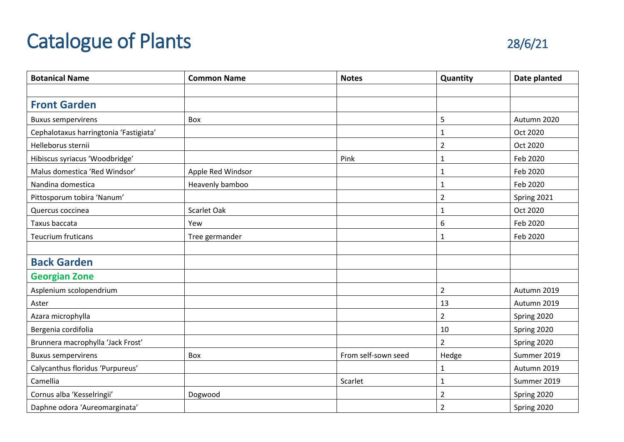## Catalogue of Plants 28/6/21



| <b>Botanical Name</b>                  | <b>Common Name</b> | <b>Notes</b>        | Quantity       | Date planted |
|----------------------------------------|--------------------|---------------------|----------------|--------------|
|                                        |                    |                     |                |              |
| <b>Front Garden</b>                    |                    |                     |                |              |
| <b>Buxus sempervirens</b>              | Box                |                     | 5              | Autumn 2020  |
| Cephalotaxus harringtonia 'Fastigiata' |                    |                     | $\mathbf{1}$   | Oct 2020     |
| Helleborus sternii                     |                    |                     | $\overline{2}$ | Oct 2020     |
| Hibiscus syriacus 'Woodbridge'         |                    | Pink                | $\mathbf{1}$   | Feb 2020     |
| Malus domestica 'Red Windsor'          | Apple Red Windsor  |                     | $\mathbf{1}$   | Feb 2020     |
| Nandina domestica                      | Heavenly bamboo    |                     | $\mathbf{1}$   | Feb 2020     |
| Pittosporum tobira 'Nanum'             |                    |                     | $\overline{2}$ | Spring 2021  |
| Quercus coccinea                       | Scarlet Oak        |                     | $\mathbf{1}$   | Oct 2020     |
| Taxus baccata                          | Yew                |                     | 6              | Feb 2020     |
| <b>Teucrium fruticans</b>              | Tree germander     |                     | 1              | Feb 2020     |
|                                        |                    |                     |                |              |
| <b>Back Garden</b>                     |                    |                     |                |              |
| <b>Georgian Zone</b>                   |                    |                     |                |              |
| Asplenium scolopendrium                |                    |                     | $\overline{2}$ | Autumn 2019  |
| Aster                                  |                    |                     | 13             | Autumn 2019  |
| Azara microphylla                      |                    |                     | $\overline{2}$ | Spring 2020  |
| Bergenia cordifolia                    |                    |                     | 10             | Spring 2020  |
| Brunnera macrophylla 'Jack Frost'      |                    |                     | $\overline{2}$ | Spring 2020  |
| <b>Buxus sempervirens</b>              | Box                | From self-sown seed | Hedge          | Summer 2019  |
| Calycanthus floridus 'Purpureus'       |                    |                     | $\mathbf 1$    | Autumn 2019  |
| Camellia                               |                    | Scarlet             | $\mathbf{1}$   | Summer 2019  |
| Cornus alba 'Kesselringii'             | Dogwood            |                     | $\overline{2}$ | Spring 2020  |
| Daphne odora 'Aureomarginata'          |                    |                     | $\overline{2}$ | Spring 2020  |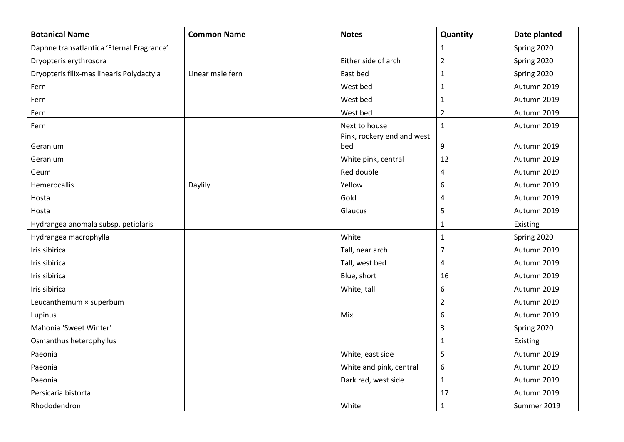| <b>Botanical Name</b>                     | <b>Common Name</b> | <b>Notes</b>               | Quantity                | Date planted |
|-------------------------------------------|--------------------|----------------------------|-------------------------|--------------|
| Daphne transatlantica 'Eternal Fragrance' |                    |                            | $\mathbf{1}$            | Spring 2020  |
| Dryopteris erythrosora                    |                    | Either side of arch        | $\overline{2}$          | Spring 2020  |
| Dryopteris filix-mas linearis Polydactyla | Linear male fern   | East bed                   | $\mathbf 1$             | Spring 2020  |
| Fern                                      |                    | West bed                   | $\mathbf 1$             | Autumn 2019  |
| Fern                                      |                    | West bed                   | $\mathbf{1}$            | Autumn 2019  |
| Fern                                      |                    | West bed                   | $\overline{2}$          | Autumn 2019  |
| Fern                                      |                    | Next to house              | $\mathbf 1$             | Autumn 2019  |
|                                           |                    | Pink, rockery end and west |                         |              |
| Geranium                                  |                    | bed                        | $\boldsymbol{9}$        | Autumn 2019  |
| Geranium                                  |                    | White pink, central        | 12                      | Autumn 2019  |
| Geum                                      |                    | Red double                 | $\overline{\mathbf{4}}$ | Autumn 2019  |
| Hemerocallis                              | Daylily            | Yellow                     | 6                       | Autumn 2019  |
| Hosta                                     |                    | Gold                       | $\pmb{4}$               | Autumn 2019  |
| Hosta                                     |                    | Glaucus                    | 5                       | Autumn 2019  |
| Hydrangea anomala subsp. petiolaris       |                    |                            | $\mathbf{1}$            | Existing     |
| Hydrangea macrophylla                     |                    | White                      | $\mathbf{1}$            | Spring 2020  |
| Iris sibirica                             |                    | Tall, near arch            | $\overline{7}$          | Autumn 2019  |
| Iris sibirica                             |                    | Tall, west bed             | 4                       | Autumn 2019  |
| Iris sibirica                             |                    | Blue, short                | 16                      | Autumn 2019  |
| Iris sibirica                             |                    | White, tall                | 6                       | Autumn 2019  |
| Leucanthemum × superbum                   |                    |                            | $\overline{2}$          | Autumn 2019  |
| Lupinus                                   |                    | Mix                        | $6\,$                   | Autumn 2019  |
| Mahonia 'Sweet Winter'                    |                    |                            | $\overline{3}$          | Spring 2020  |
| Osmanthus heterophyllus                   |                    |                            | $\mathbf{1}$            | Existing     |
| Paeonia                                   |                    | White, east side           | 5                       | Autumn 2019  |
| Paeonia                                   |                    | White and pink, central    | 6                       | Autumn 2019  |
| Paeonia                                   |                    | Dark red, west side        | $\mathbf 1$             | Autumn 2019  |
| Persicaria bistorta                       |                    |                            | 17                      | Autumn 2019  |
| Rhododendron                              |                    | White                      | $\mathbf{1}$            | Summer 2019  |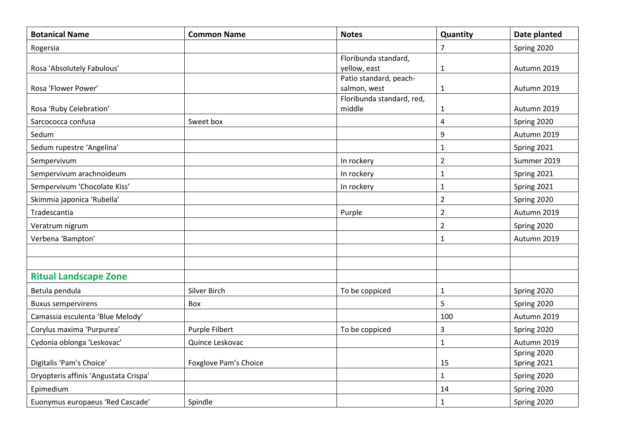| <b>Botanical Name</b>                 | <b>Common Name</b>    | <b>Notes</b>                        | Quantity       | Date planted |
|---------------------------------------|-----------------------|-------------------------------------|----------------|--------------|
| Rogersia                              |                       |                                     | $\overline{7}$ | Spring 2020  |
|                                       |                       | Floribunda standard,                |                |              |
| Rosa 'Absolutely Fabulous'            |                       | yellow, east                        | $\mathbf{1}$   | Autumn 2019  |
|                                       |                       | Patio standard, peach-              |                |              |
| Rosa 'Flower Power'                   |                       | salmon, west                        | $\mathbf{1}$   | Autumn 2019  |
| Rosa 'Ruby Celebration'               |                       | Floribunda standard, red,<br>middle | $\mathbf{1}$   | Autumn 2019  |
| Sarcococca confusa                    | Sweet box             |                                     | $\overline{4}$ | Spring 2020  |
| Sedum                                 |                       |                                     | 9              | Autumn 2019  |
| Sedum rupestre 'Angelina'             |                       |                                     | $\mathbf{1}$   | Spring 2021  |
| Sempervivum                           |                       | In rockery                          | $\overline{2}$ | Summer 2019  |
| Sempervivum arachnoideum              |                       | In rockery                          | $\mathbf{1}$   | Spring 2021  |
| Sempervivum 'Chocolate Kiss'          |                       | In rockery                          | $\mathbf{1}$   | Spring 2021  |
| Skimmia japonica 'Rubella'            |                       |                                     | $\overline{2}$ | Spring 2020  |
| Tradescantia                          |                       | Purple                              | $\overline{2}$ | Autumn 2019  |
| Veratrum nigrum                       |                       |                                     | $\overline{2}$ | Spring 2020  |
| Verbena 'Bampton'                     |                       |                                     | $\mathbf{1}$   | Autumn 2019  |
|                                       |                       |                                     |                |              |
|                                       |                       |                                     |                |              |
| <b>Ritual Landscape Zone</b>          |                       |                                     |                |              |
| Betula pendula                        | Silver Birch          | To be coppiced                      | $\mathbf{1}$   | Spring 2020  |
| <b>Buxus sempervirens</b>             | Box                   |                                     | 5              | Spring 2020  |
| Camassia esculenta 'Blue Melody'      |                       |                                     | 100            | Autumn 2019  |
| Corylus maxima 'Purpurea'             | Purple Filbert        | To be coppiced                      | $\overline{3}$ | Spring 2020  |
| Cydonia oblonga 'Leskovac'            | Quince Leskovac       |                                     | $\mathbf{1}$   | Autumn 2019  |
|                                       |                       |                                     |                | Spring 2020  |
| Digitalis 'Pam's Choice'              | Foxglove Pam's Choice |                                     | 15             | Spring 2021  |
| Dryopteris affinis 'Angustata Crispa' |                       |                                     | $\mathbf{1}$   | Spring 2020  |
| Epimedium                             |                       |                                     | 14             | Spring 2020  |
| Euonymus europaeus 'Red Cascade'      | Spindle               |                                     | $\mathbf{1}$   | Spring 2020  |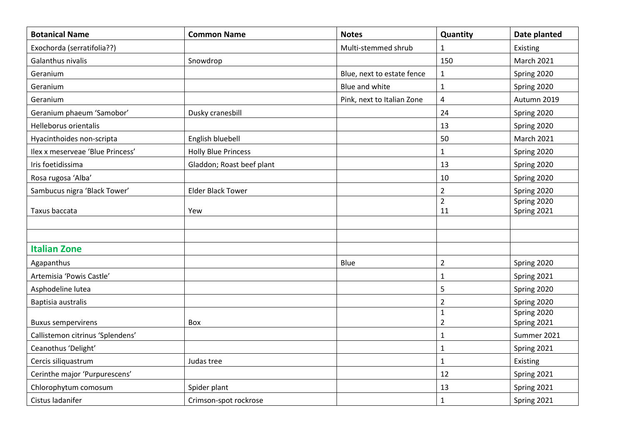| <b>Botanical Name</b>            | <b>Common Name</b>         | <b>Notes</b>               | Quantity                      | Date planted               |
|----------------------------------|----------------------------|----------------------------|-------------------------------|----------------------------|
| Exochorda (serratifolia??)       |                            | Multi-stemmed shrub        | $\mathbf{1}$                  | Existing                   |
| Galanthus nivalis                | Snowdrop                   |                            | 150                           | <b>March 2021</b>          |
| Geranium                         |                            | Blue, next to estate fence | $\mathbf{1}$                  | Spring 2020                |
| Geranium                         |                            | Blue and white             | $\mathbf 1$                   | Spring 2020                |
| Geranium                         |                            | Pink, next to Italian Zone | $\overline{\mathbf{4}}$       | Autumn 2019                |
| Geranium phaeum 'Samobor'        | Dusky cranesbill           |                            | 24                            | Spring 2020                |
| Helleborus orientalis            |                            |                            | 13                            | Spring 2020                |
| Hyacinthoides non-scripta        | English bluebell           |                            | 50                            | <b>March 2021</b>          |
| Ilex x meserveae 'Blue Princess' | <b>Holly Blue Princess</b> |                            | $\mathbf 1$                   | Spring 2020                |
| Iris foetidissima                | Gladdon; Roast beef plant  |                            | 13                            | Spring 2020                |
| Rosa rugosa 'Alba'               |                            |                            | 10                            | Spring 2020                |
| Sambucus nigra 'Black Tower'     | <b>Elder Black Tower</b>   |                            | $\overline{2}$                | Spring 2020                |
|                                  |                            |                            | $\overline{2}$                | Spring 2020                |
| Taxus baccata                    | Yew                        |                            | 11                            | Spring 2021                |
|                                  |                            |                            |                               |                            |
| <b>Italian Zone</b>              |                            |                            |                               |                            |
| Agapanthus                       |                            | Blue                       | $\overline{2}$                |                            |
|                                  |                            |                            |                               | Spring 2020                |
| Artemisia 'Powis Castle'         |                            |                            | $\mathbf 1$                   | Spring 2021                |
| Asphodeline lutea                |                            |                            | 5                             | Spring 2020                |
| Baptisia australis               |                            |                            | $\overline{2}$                | Spring 2020                |
| <b>Buxus sempervirens</b>        | Box                        |                            | $\mathbf 1$<br>$\overline{2}$ | Spring 2020<br>Spring 2021 |
| Callistemon citrinus 'Splendens' |                            |                            | $\mathbf{1}$                  | Summer 2021                |
| Ceanothus 'Delight'              |                            |                            | $\mathbf{1}$                  | Spring 2021                |
| Cercis siliquastrum              | Judas tree                 |                            | $\mathbf{1}$                  | Existing                   |
| Cerinthe major 'Purpurescens'    |                            |                            | 12                            | Spring 2021                |
| Chlorophytum comosum             | Spider plant               |                            | 13                            | Spring 2021                |
| Cistus ladanifer                 | Crimson-spot rockrose      |                            | $\mathbf{1}$                  | Spring 2021                |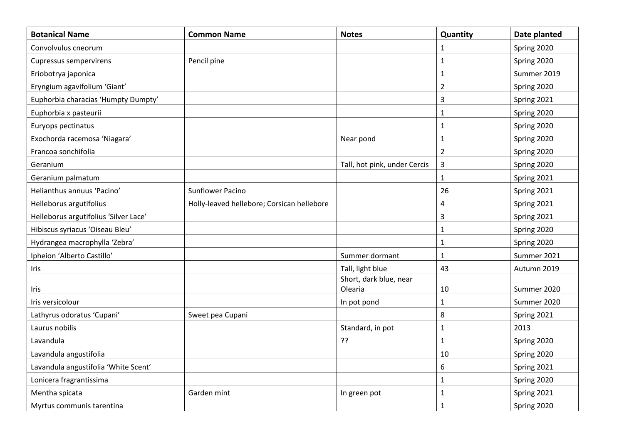| <b>Botanical Name</b>                 | <b>Common Name</b>                         | <b>Notes</b>                 | Quantity       | Date planted |
|---------------------------------------|--------------------------------------------|------------------------------|----------------|--------------|
| Convolvulus cneorum                   |                                            |                              | 1              | Spring 2020  |
| Cupressus sempervirens                | Pencil pine                                |                              | $\mathbf{1}$   | Spring 2020  |
| Eriobotrya japonica                   |                                            |                              | $\mathbf 1$    | Summer 2019  |
| Eryngium agavifolium 'Giant'          |                                            |                              | $\overline{2}$ | Spring 2020  |
| Euphorbia characias 'Humpty Dumpty'   |                                            |                              | 3              | Spring 2021  |
| Euphorbia x pasteurii                 |                                            |                              | $\mathbf{1}$   | Spring 2020  |
| Euryops pectinatus                    |                                            |                              | $\mathbf{1}$   | Spring 2020  |
| Exochorda racemosa 'Niagara'          |                                            | Near pond                    | $\mathbf{1}$   | Spring 2020  |
| Francoa sonchifolia                   |                                            |                              | $\overline{2}$ | Spring 2020  |
| Geranium                              |                                            | Tall, hot pink, under Cercis | $\overline{3}$ | Spring 2020  |
| Geranium palmatum                     |                                            |                              | $\mathbf{1}$   | Spring 2021  |
| Helianthus annuus 'Pacino'            | Sunflower Pacino                           |                              | 26             | Spring 2021  |
| Helleborus argutifolius               | Holly-leaved hellebore; Corsican hellebore |                              | 4              | Spring 2021  |
| Helleborus argutifolius 'Silver Lace' |                                            |                              | 3              | Spring 2021  |
| Hibiscus syriacus 'Oiseau Bleu'       |                                            |                              | $\mathbf 1$    | Spring 2020  |
| Hydrangea macrophylla 'Zebra'         |                                            |                              | $\mathbf{1}$   | Spring 2020  |
| Ipheion 'Alberto Castillo'            |                                            | Summer dormant               | $\mathbf{1}$   | Summer 2021  |
| Iris                                  |                                            | Tall, light blue             | 43             | Autumn 2019  |
|                                       |                                            | Short, dark blue, near       |                |              |
| Iris                                  |                                            | Olearia                      | 10             | Summer 2020  |
| Iris versicolour                      |                                            | In pot pond                  | $\mathbf{1}$   | Summer 2020  |
| Lathyrus odoratus 'Cupani'            | Sweet pea Cupani                           |                              | 8              | Spring 2021  |
| Laurus nobilis                        |                                            | Standard, in pot             | $\mathbf{1}$   | 2013         |
| Lavandula                             |                                            | ??                           | $\mathbf{1}$   | Spring 2020  |
| Lavandula angustifolia                |                                            |                              | 10             | Spring 2020  |
| Lavandula angustifolia 'White Scent'  |                                            |                              | 6              | Spring 2021  |
| Lonicera fragrantissima               |                                            |                              | $\mathbf{1}$   | Spring 2020  |
| Mentha spicata                        | Garden mint                                | In green pot                 | $\mathbf{1}$   | Spring 2021  |
| Myrtus communis tarentina             |                                            |                              | $\mathbf{1}$   | Spring 2020  |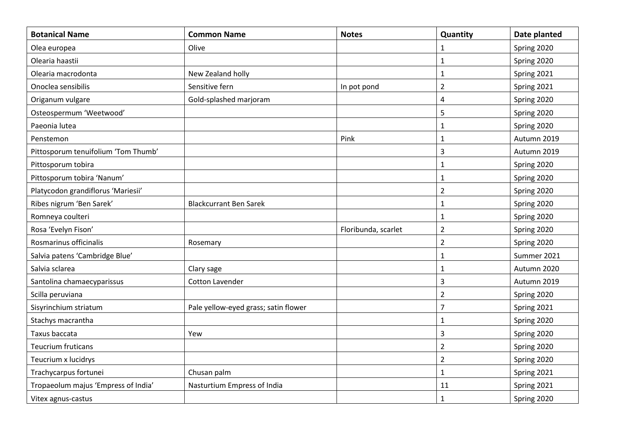| <b>Botanical Name</b>               | <b>Common Name</b>                   | <b>Notes</b>        | Quantity                | Date planted |
|-------------------------------------|--------------------------------------|---------------------|-------------------------|--------------|
| Olea europea                        | Olive                                |                     | 1                       | Spring 2020  |
| Olearia haastii                     |                                      |                     | $\mathbf{1}$            | Spring 2020  |
| Olearia macrodonta                  | New Zealand holly                    |                     | $\mathbf{1}$            | Spring 2021  |
| Onoclea sensibilis                  | Sensitive fern                       | In pot pond         | $\overline{2}$          | Spring 2021  |
| Origanum vulgare                    | Gold-splashed marjoram               |                     | $\overline{\mathbf{4}}$ | Spring 2020  |
| Osteospermum 'Weetwood'             |                                      |                     | 5                       | Spring 2020  |
| Paeonia lutea                       |                                      |                     | $\mathbf 1$             | Spring 2020  |
| Penstemon                           |                                      | Pink                | $\mathbf 1$             | Autumn 2019  |
| Pittosporum tenuifolium 'Tom Thumb' |                                      |                     | 3                       | Autumn 2019  |
| Pittosporum tobira                  |                                      |                     | $\mathbf{1}$            | Spring 2020  |
| Pittosporum tobira 'Nanum'          |                                      |                     | $\mathbf 1$             | Spring 2020  |
| Platycodon grandiflorus 'Mariesii'  |                                      |                     | $\overline{2}$          | Spring 2020  |
| Ribes nigrum 'Ben Sarek'            | <b>Blackcurrant Ben Sarek</b>        |                     | $\mathbf 1$             | Spring 2020  |
| Romneya coulteri                    |                                      |                     | $\mathbf{1}$            | Spring 2020  |
| Rosa 'Evelyn Fison'                 |                                      | Floribunda, scarlet | $\overline{2}$          | Spring 2020  |
| Rosmarinus officinalis              | Rosemary                             |                     | $\overline{2}$          | Spring 2020  |
| Salvia patens 'Cambridge Blue'      |                                      |                     | $\mathbf 1$             | Summer 2021  |
| Salvia sclarea                      | Clary sage                           |                     | $\mathbf{1}$            | Autumn 2020  |
| Santolina chamaecyparissus          | Cotton Lavender                      |                     | $\overline{3}$          | Autumn 2019  |
| Scilla peruviana                    |                                      |                     | $\overline{2}$          | Spring 2020  |
| Sisyrinchium striatum               | Pale yellow-eyed grass; satin flower |                     | $\overline{7}$          | Spring 2021  |
| Stachys macrantha                   |                                      |                     | $\mathbf{1}$            | Spring 2020  |
| Taxus baccata                       | Yew                                  |                     | 3                       | Spring 2020  |
| <b>Teucrium fruticans</b>           |                                      |                     | $\overline{2}$          | Spring 2020  |
| Teucrium x lucidrys                 |                                      |                     | $\overline{2}$          | Spring 2020  |
| Trachycarpus fortunei               | Chusan palm                          |                     | $\mathbf{1}$            | Spring 2021  |
| Tropaeolum majus 'Empress of India' | Nasturtium Empress of India          |                     | 11                      | Spring 2021  |
| Vitex agnus-castus                  |                                      |                     | $\mathbf{1}$            | Spring 2020  |